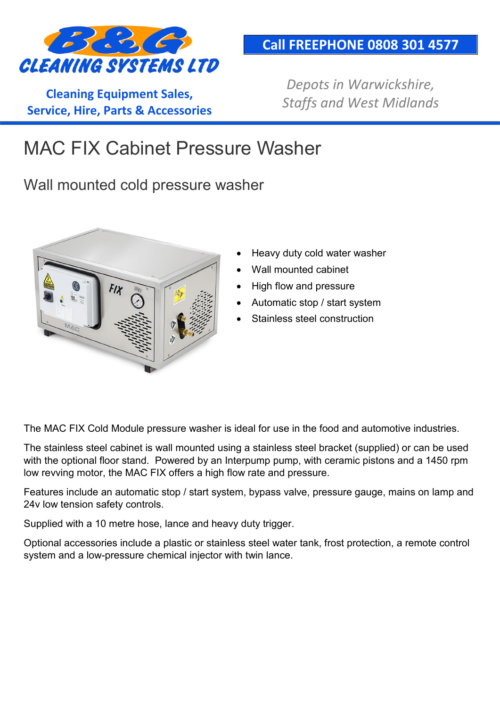

**Cleaning Equipment Sales, Service, Hire, Parts & Accessories**

## **Call FREEPHONE 0808 301 4577**

*Depots in Warwickshire, Staffs and West Midlands*

## MAC FIX Cabinet Pressure Washer

Wall mounted cold pressure washer



- Heavy duty cold water washer
- Wall mounted cabinet
- High flow and pressure
- Automatic stop / start system
- Stainless steel construction

The MAC FIX Cold Module pressure washer is ideal for use in the food and automotive industries.

The stainless steel cabinet is wall mounted using a stainless steel bracket (supplied) or can be used with the optional floor stand. Powered by an Interpump pump, with ceramic pistons and a 1450 rpm low revving motor, the MAC FIX offers a high flow rate and pressure.

Features include an automatic stop / start system, bypass valve, pressure gauge, mains on lamp and 24v low tension safety controls.

Supplied with a 10 metre hose, lance and heavy duty trigger.

Optional accessories include a plastic or stainless steel water tank, frost protection, a remote control system and a low-pressure chemical injector with twin lance.